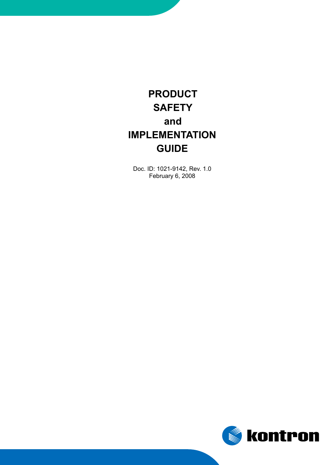## **and IMPLEMENTATION GUIDE SAFETY PRODUCT**

Doc. ID: 1021-9142, Rev. 1.0 February 6, 2008

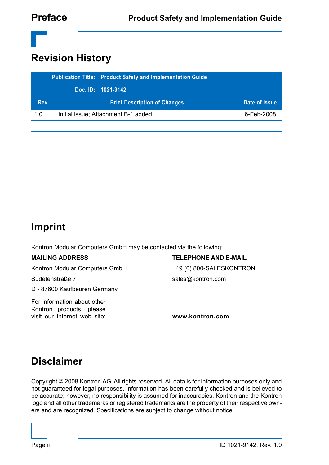## **Revision History**

|          | <b>Publication Title:</b>           | <b>Product Safety and Implementation Guide</b> |               |
|----------|-------------------------------------|------------------------------------------------|---------------|
| Doc. ID: |                                     | 1021-9142                                      |               |
| Rev.     | <b>Brief Description of Changes</b> |                                                | Date of Issue |
| 1.0      | Initial issue; Attachment B-1 added |                                                | 6-Feb-2008    |
|          |                                     |                                                |               |
|          |                                     |                                                |               |
|          |                                     |                                                |               |
|          |                                     |                                                |               |
|          |                                     |                                                |               |
|          |                                     |                                                |               |
|          |                                     |                                                |               |

## **Imprint**

Kontron Modular Computers GmbH may be contacted via the following:

Kontron Modular Computers GmbH +49 (0) 800-SALESKONTRON

D - 87600 Kaufbeuren Germany

For information about other Kontron products, please visit our Internet web site: **www.kontron.com**

**MAILING ADDRESS TELEPHONE AND E-MAIL** 

Sudetenstraße 7 sales@kontron.com

## **Disclaimer**

Copyright © 2008 Kontron AG. All rights reserved. All data is for information purposes only and not guaranteed for legal purposes. Information has been carefully checked and is believed to be accurate; however, no responsibility is assumed for inaccuracies. Kontron and the Kontron logo and all other trademarks or registered trademarks are the property of their respective owners and are recognized. Specifications are subject to change without notice.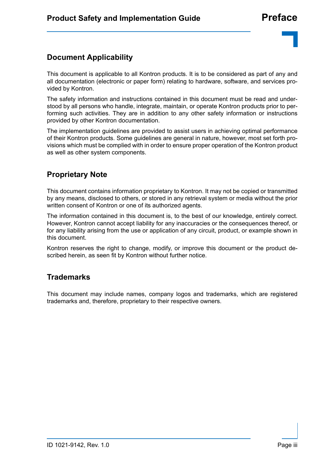## **Document Applicability**

This document is applicable to all Kontron products. It is to be considered as part of any and all documentation (electronic or paper form) relating to hardware, software, and services provided by Kontron.

The safety information and instructions contained in this document must be read and understood by all persons who handle, integrate, maintain, or operate Kontron products prior to performing such activities. They are in addition to any other safety information or instructions provided by other Kontron documentation.

The implementation guidelines are provided to assist users in achieving optimal performance of their Kontron products. Some guidelines are general in nature, however, most set forth provisions which must be complied with in order to ensure proper operation of the Kontron product as well as other system components.

## **Proprietary Note**

This document contains information proprietary to Kontron. It may not be copied or transmitted by any means, disclosed to others, or stored in any retrieval system or media without the prior written consent of Kontron or one of its authorized agents.

The information contained in this document is, to the best of our knowledge, entirely correct. However, Kontron cannot accept liability for any inaccuracies or the consequences thereof, or for any liability arising from the use or application of any circuit, product, or example shown in this document.

Kontron reserves the right to change, modify, or improve this document or the product described herein, as seen fit by Kontron without further notice.

## **Trademarks**

This document may include names, company logos and trademarks, which are registered trademarks and, therefore, proprietary to their respective owners.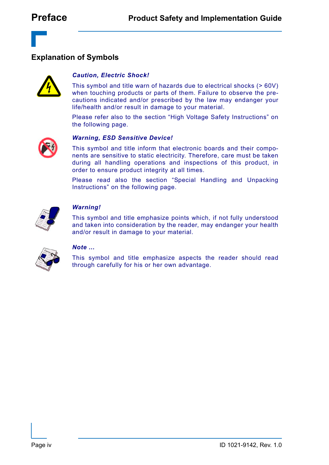

## **Explanation of Symbols**



#### *Caution, Electric Shock!*

This symbol and title warn of hazards due to electrical shocks (> 60V) when touching products or parts of them. Failure to observe the precautions indicated and/or prescribed by the law may endanger your life/health and/or result in damage to your material.

Please refer also to the section "High Voltage Safety Instructions" on the following page.



#### *Warning, ESD Sensitive Device!*

This symbol and title inform that electronic boards and their components are sensitive to static electricity. Therefore, care must be taken during all handling operations and inspections of this product, in order to ensure product integrity at all times.

Please read also the section "Special Handling and Unpacking Instructions" on the following page.



### *Warning!*

This symbol and title emphasize points which, if not fully understood and taken into consideration by the reader, may endanger your health and/or result in damage to your material.



#### *Note ...*

This symbol and title emphasize aspects the reader should read through carefully for his or her own advantage.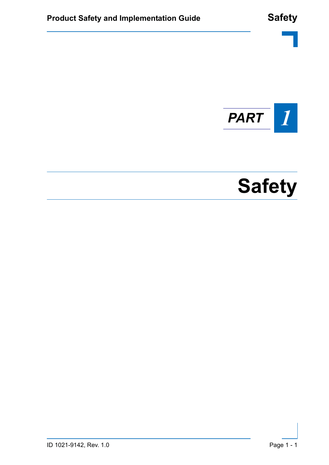

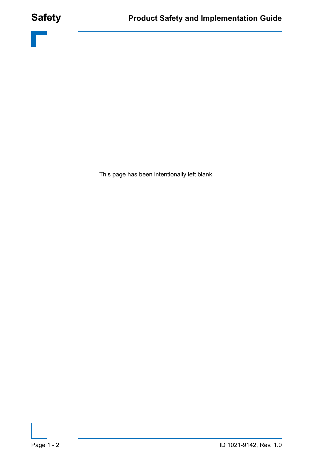

This page has been intentionally left blank.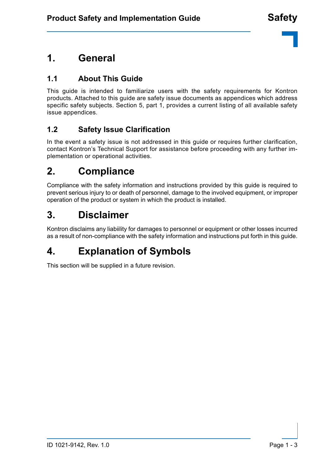## **1. General**

## **1.1 About This Guide**

This guide is intended to familiarize users with the safety requirements for Kontron products. Attached to this guide are safety issue documents as appendices which address specific safety subjects. Section 5, part 1, provides a current listing of all available safety issue appendices.

## **1.2 Safety Issue Clarification**

In the event a safety issue is not addressed in this guide or requires further clarification, contact Kontron's Technical Support for assistance before proceeding with any further implementation or operational activities.

## **2. Compliance**

Compliance with the safety information and instructions provided by this guide is required to prevent serious injury to or death of personnel, damage to the involved equipment, or improper operation of the product or system in which the product is installed.

## **3. Disclaimer**

Kontron disclaims any liabiility for damages to personnel or equipment or other losses incurred as a result of non-compliance with the safety information and instructions put forth in this guide.

## **4. Explanation of Symbols**

This section will be supplied in a future revision.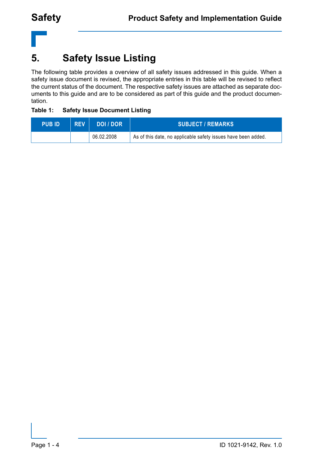

## **5. Safety Issue Listing**

The following table provides a overview of all safety issues addressed in this guide. When a safety issue document is revised, the appropriate entries in this table will be revised to reflect the current status of the document. The respective safety issues are attached as separate documents to this guide and are to be considered as part of this guide and the product documentation.

### **Table 1: Safety Issue Document Listing**

| <b>PUB ID'</b> | <b>REV</b> | <b>DOI</b> / DOR | <b>SUBJECT / REMARKS</b>                                      |
|----------------|------------|------------------|---------------------------------------------------------------|
|                |            | 06.02.2008       | As of this date, no applicable safety issues have been added. |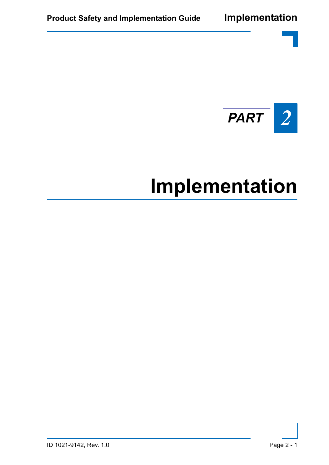

# **Implementation**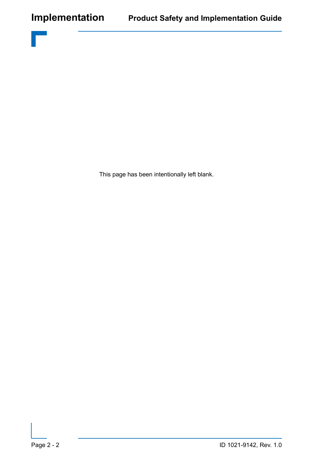

This page has been intentionally left blank.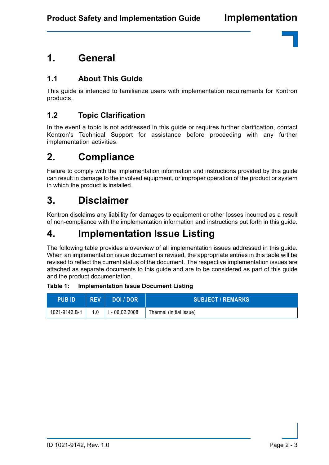## **1. General**

## **1.1 About This Guide**

This guide is intended to familiarize users with implementation requirements for Kontron products.

## **1.2 Topic Clarification**

In the event a topic is not addressed in this guide or requires further clarification, contact Kontron's Technical Support for assistance before proceeding with any further implementation activities.

## **2. Compliance**

Failure to comply with the implementation information and instructions provided by this guide can result in damage to the involved equipment, or improper operation of the product or system in which the product is installed.

## **3. Disclaimer**

Kontron disclaims any liabiility for damages to equipment or other losses incurred as a result of non-compliance with the implementation information and instructions put forth in this guide.

## **4. Implementation Issue Listing**

The following table provides a overview of all implementation issues addressed in this guide. When an implementation issue document is revised, the appropriate entries in this table will be revised to reflect the current status of the document. The respective implementation issues are attached as separate documents to this guide and are to be considered as part of this guide and the product documentation.

#### **Table 1: Implementation Issue Document Listing**

| <b>PUB ID</b>                             | <b>REV</b> | DOI / DOR | <b>SUBJECT / REMARKS /</b> |
|-------------------------------------------|------------|-----------|----------------------------|
| $1021 - 9142$ .B-1   1.0   I - 06.02.2008 |            |           | Thermal (initial issue)    |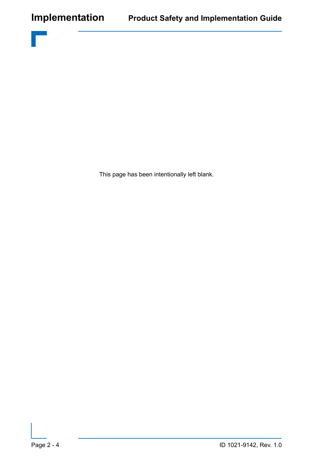

This page has been intentionally left blank.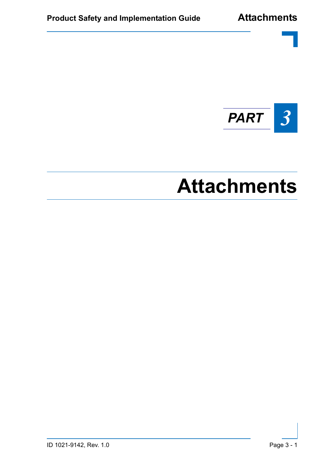

# **Attachments**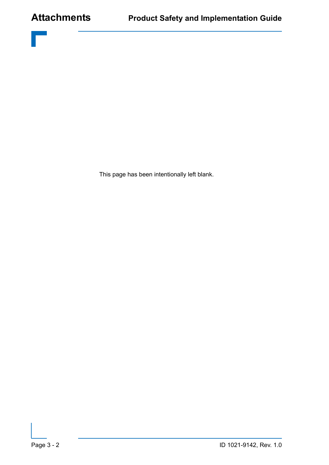

This page has been intentionally left blank.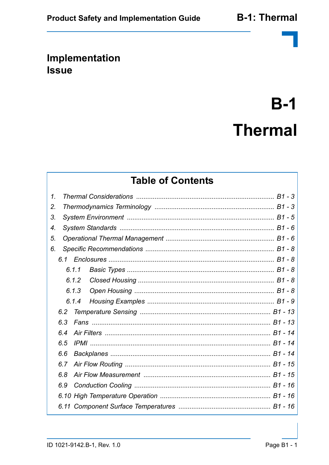## Implementation **Issue**

# $B-1$ **Thermal**

## **Table of Contents**

| $\mathcal{I}$ . |     |       |  |  |
|-----------------|-----|-------|--|--|
| 2.              |     |       |  |  |
| 3.              |     |       |  |  |
| 4.              |     |       |  |  |
| 5.              |     |       |  |  |
| 6.              |     |       |  |  |
|                 |     |       |  |  |
|                 |     | 6.1.1 |  |  |
|                 |     | 6.1.2 |  |  |
|                 |     | 6.1.3 |  |  |
|                 |     | 6.1.4 |  |  |
|                 | 6.2 |       |  |  |
|                 | 6.3 |       |  |  |
|                 | 6.4 |       |  |  |
|                 | 6.5 |       |  |  |
|                 | 6.6 |       |  |  |
|                 | 6.7 |       |  |  |
|                 | 6.8 |       |  |  |
|                 | 6.9 |       |  |  |
|                 |     |       |  |  |
|                 |     |       |  |  |
|                 |     |       |  |  |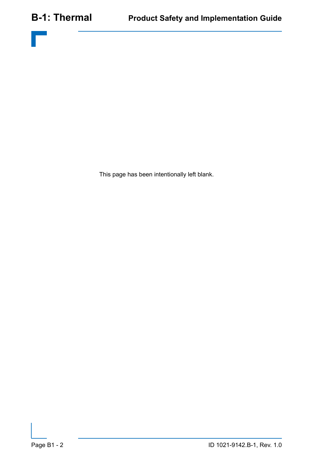

This page has been intentionally left blank.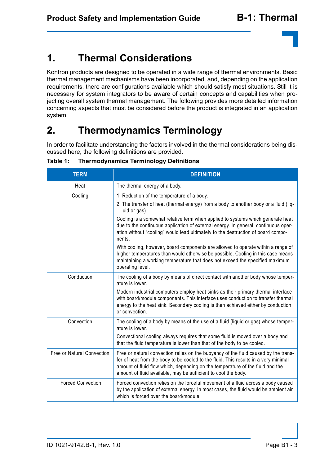## **1. Thermal Considerations**

Kontron products are designed to be operated in a wide range of thermal environments. Basic thermal management mechanisms have been incorporated, and, depending on the application requirements, there are configurations available which should satisfy most situations. Still it is necessary for system integrators to be aware of certain concepts and capabilities when projecting overall system thermal management. The following provides more detailed information concerning aspects that must be considered before the product is integrated in an application system.

## **2. Thermodynamics Terminology**

In order to facilitate understanding the factors involved in the thermal considerations being discussed here, the following definitions are provided.

| <b>TERM</b>                | <b>DEFINITION</b>                                                                                                                                                                                                                                                                                                             |
|----------------------------|-------------------------------------------------------------------------------------------------------------------------------------------------------------------------------------------------------------------------------------------------------------------------------------------------------------------------------|
| Heat                       | The thermal energy of a body.                                                                                                                                                                                                                                                                                                 |
| Cooling                    | 1. Reduction of the temperature of a body.<br>2. The transfer of heat (thermal energy) from a body to another body or a fluid (liq-<br>uid or gas).                                                                                                                                                                           |
|                            | Cooling is a somewhat relative term when applied to systems which generate heat<br>due to the continuous application of external energy. In general, continuous oper-<br>ation without "cooling" would lead ultimately to the destruction of board compo-<br>nents.                                                           |
|                            | With cooling, however, board components are allowed to operate within a range of<br>higher temperatures than would otherwise be possible. Cooling in this case means<br>maintaining a working temperature that does not exceed the specified maximum<br>operating level.                                                      |
| Conduction                 | The cooling of a body by means of direct contact with another body whose temper-<br>ature is lower.                                                                                                                                                                                                                           |
|                            | Modern industrial computers employ heat sinks as their primary thermal interface<br>with board/module components. This interface uses conduction to transfer thermal<br>energy to the heat sink. Secondary cooling is then achieved either by conduction<br>or convection.                                                    |
| Convection                 | The cooling of a body by means of the use of a fluid (liquid or gas) whose temper-<br>ature is lower.                                                                                                                                                                                                                         |
|                            | Convectional cooling always requires that some fluid is moved over a body and<br>that the fluid temperature is lower than that of the body to be cooled.                                                                                                                                                                      |
| Free or Natural Convection | Free or natural convection relies on the buoyancy of the fluid caused by the trans-<br>fer of heat from the body to be cooled to the fluid. This results in a very minimal<br>amount of fluid flow which, depending on the temperature of the fluid and the<br>amount of fluid available, may be sufficient to cool the body. |
| <b>Forced Convection</b>   | Forced convection relies on the forceful movement of a fluid across a body caused<br>by the application of external energy. In most cases, the fluid would be ambient air<br>which is forced over the board/module.                                                                                                           |

### **Table 1: Thermodynamics Terminology Definitions**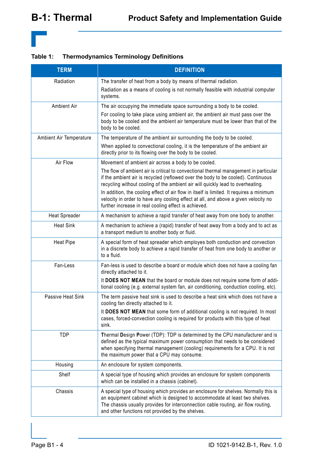**Table 1: Thermodynamics Terminology Definitions**

| <b>TERM</b>             | <b>DEFINITION</b>                                                                                                                                                                                                                                                                                                                                                                                                                                                                                                                                          |
|-------------------------|------------------------------------------------------------------------------------------------------------------------------------------------------------------------------------------------------------------------------------------------------------------------------------------------------------------------------------------------------------------------------------------------------------------------------------------------------------------------------------------------------------------------------------------------------------|
| Radiation               | The transfer of heat from a body by means of thermal radiation.<br>Radiation as a means of cooling is not normally feasible with industrial computer<br>systems.                                                                                                                                                                                                                                                                                                                                                                                           |
| Ambient Air             | The air occupying the immediate space surrounding a body to be cooled.<br>For cooling to take place using ambient air, the ambient air must pass over the<br>body to be cooled and the ambient air temperature must be lower than that of the<br>body to be cooled.                                                                                                                                                                                                                                                                                        |
| Ambient Air Temperature | The temperature of the ambient air surrounding the body to be cooled.<br>When applied to convectional cooling, it is the temperature of the ambient air<br>directly prior to its flowing over the body to be cooled.                                                                                                                                                                                                                                                                                                                                       |
| Air Flow                | Movement of ambient air across a body to be cooled.<br>The flow of ambient air is critical to convectional thermal management in particular<br>if the ambient air is recycled (reflowed over the body to be cooled). Continuous<br>recycling without cooling of the ambient air will quickly lead to overheating.<br>In addition, the cooling effect of air flow in itself is limited. It requires a minimum<br>velocity in order to have any cooling effect at all, and above a given velocity no<br>further increase in real cooling effect is achieved. |
| <b>Heat Spreader</b>    | A mechanism to achieve a rapid transfer of heat away from one body to another.                                                                                                                                                                                                                                                                                                                                                                                                                                                                             |
| <b>Heat Sink</b>        | A mechanism to achieve a (rapid) transfer of heat away from a body and to act as<br>a transport medium to another body or fluid.                                                                                                                                                                                                                                                                                                                                                                                                                           |
| <b>Heat Pipe</b>        | A special form of heat spreader which employes both conduction and convection<br>in a discrete body to achieve a rapid transfer of heat from one body to another or<br>to a fluid.                                                                                                                                                                                                                                                                                                                                                                         |
| Fan-Less                | Fan-less is used to describe a board or module which does not have a cooling fan<br>directly attached to it.<br>It DOES NOT MEAN that the board or module does not require some form of addi-<br>tional cooling (e.g. external system fan, air conditioning, conduction cooling, etc).                                                                                                                                                                                                                                                                     |
| Passive Heat Sink       | The term passive heat sink is used to describe a heat sink which does not have a<br>cooling fan directly attached to it.<br>It DOES NOT MEAN that some form of additional cooling is not required. In most<br>cases, forced-convection cooling is required for products with this type of heat<br>sink.                                                                                                                                                                                                                                                    |
| <b>TDP</b>              | Thermal Design Power (TDP): TDP is determined by the CPU manufacturer and is<br>defined as the typical maximum power consumption that needs to be considered<br>when specifying thermal management (cooling) requirements for a CPU. It is not<br>the maximum power that a CPU may consume.                                                                                                                                                                                                                                                                |
| Housing                 | An enclosure for system components.                                                                                                                                                                                                                                                                                                                                                                                                                                                                                                                        |
| Shelf                   | A special type of housing which provides an enclosure for system components<br>which can be installed in a chassis (cabinet).                                                                                                                                                                                                                                                                                                                                                                                                                              |
| Chassis                 | A special type of housing which provides an enclosure for shelves. Normally this is<br>an equipment cabinet which is designed to accommodate at least two shelves.<br>The chassis usually provides for interconnection cable routing, air flow routing,<br>and other functions not provided by the shelves.                                                                                                                                                                                                                                                |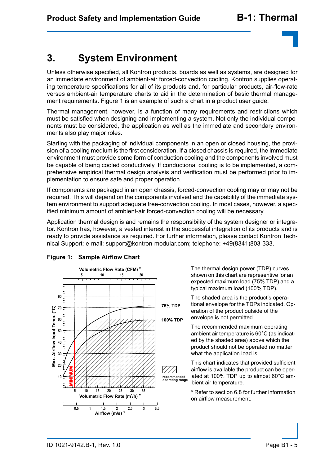## **3. System Environment**

Unless otherwise specified, all Kontron products, boards as well as systems, are designed for an immediate environment of ambient-air forced-convection cooling. Kontron supplies operating temperature specifications for all of its products and, for particular products, air-flow-rate verses ambient-air temperature charts to aid in the determination of basic thermal management requirements. Figure 1 is an example of such a chart in a product user guide.

Thermal management, however, is a function of many requirements and restrictions which must be satisfied when designing and implementing a system. Not only the individual components must be considered, the application as well as the immediate and secondary environments also play major roles.

Starting with the packaging of individual components in an open or closed housing, the provision of a cooling medium is the first consideration. If a closed chassis is required, the immediate environment must provide some form of conduction cooling and the components involved must be capable of being cooled conductively. If conductional cooling is to be implemented, a comprehensive empirical thermal design analysis and verification must be performed prior to implementation to ensure safe and proper operation.

If components are packaged in an open chassis, forced-convection cooling may or may not be required. This will depend on the components involved and the capability of the immediate system environment to support adequate free-convection cooling. In most cases, however, a specified minimum amount of ambient-air forced-convection cooling will be necessary.

Application thermal design is and remains the responsibility of the system designer or integrator. Kontron has, however, a vested interest in the successful integration of its products and is ready to provide assistance as required. For further information, please contact Kontron Technical Support: e-mail: support@kontron-modular.com; telephone: +49(8341)803-333.



#### **Figure 1: Sample Airflow Chart**

The thermal design power (TDP) curves shown on this chart are representive for an expected maximum load (75% TDP) and a typical maximum load (100% TDP).

The shaded area is the product's operational envelope for the TDPs indicated. Operation of the product outside of the envelope is not permitted.

The recommended maximum operating ambient air temperature is 60°C (as indicated by the shaded area) above which the product should not be operated no matter what the application load is.

This chart indicates that provided sufficient airflow is available the product can be operated at 100% TDP up to almost 60°C ambient air temperature.

\* Refer to section 6.8 for further information on airflow measurement.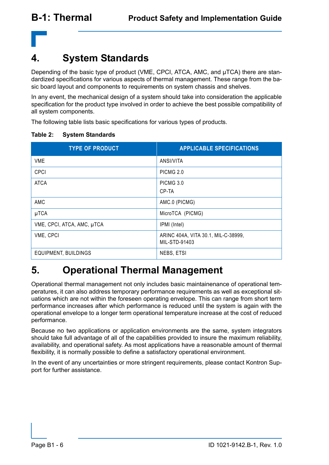

## **4. System Standards**

Depending of the basic type of product (VME, CPCI, ATCA, AMC, and µTCA) there are standardized specifications for various aspects of thermal management. These range from the basic board layout and components to requirements on system chassis and shelves.

In any event, the mechanical design of a system should take into consideration the applicable specification for the product type involved in order to achieve the best possible compatibility of all system components.

The following table lists basic specifications for various types of products.

| <b>TYPE OF PRODUCT</b>      | <b>APPLICABLE SPECIFICATIONS</b>                     |
|-----------------------------|------------------------------------------------------|
| <b>VME</b>                  | ANSI/VITA                                            |
| <b>CPCI</b>                 | PICMG 2.0                                            |
| <b>ATCA</b>                 | PICMG 3.0<br>CP-TA                                   |
| AMC                         | AMC.0 (PICMG)                                        |
| µTCA                        | MicroTCA (PICMG)                                     |
| VME, CPCI, ATCA, AMC, µTCA  | IPMI (Intel)                                         |
| VME, CPCI                   | ARINC 404A, VITA 30.1, MIL-C-38999,<br>MIL-STD-91403 |
| <b>EQUIPMENT, BUILDINGS</b> | NEBS, ETSI                                           |

#### **Table 2: System Standards**

## **5. Operational Thermal Management**

Operational thermal management not only includes basic maintainenance of operational temperatures, it can also address temporary performance requirements as well as exceptional situations which are not within the foreseen operating envelope. This can range from short term performance increases after which performance is reduced until the system is again with the operational envelope to a longer term operational temperature increase at the cost of reduced performance.

Because no two applications or application environments are the same, system integrators should take full advantage of all of the capabilities provided to insure the maximum reliability, availability, and operational safety. As most applications have a reasonable amount of thermal flexibility, it is normally possible to define a satisfactory operational environment.

In the event of any uncertainties or more stringent requirements, please contact Kontron Support for further assistance.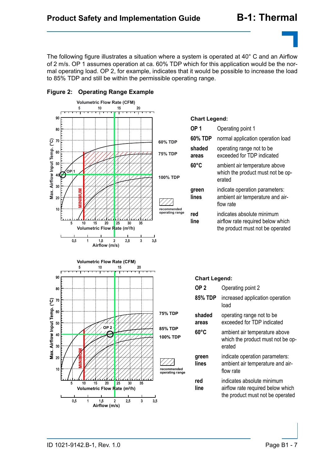The following figure illustrates a situation where a system is operated at 40° C and an Airflow of 2 m/s. OP 1 assumes operation at ca. 60% TDP which for this application would be the normal operating load. OP 2, for example, indicates that it would be possible to increase the load to 85% TDP and still be within the permissible operating range.



#### **Figure 2: Operating Range Example**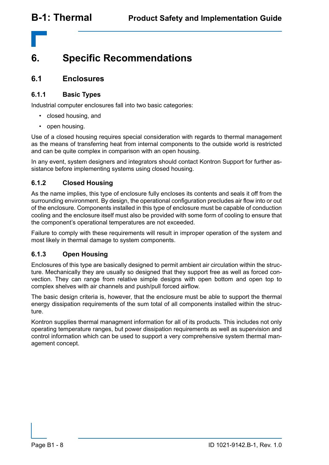

## **6. Specific Recommendations**

## **6.1 Enclosures**

### **6.1.1 Basic Types**

Industrial computer enclosures fall into two basic categories:

- closed housing, and
- open housing.

Use of a closed housing requires special consideration with regards to thermal management as the means of transferring heat from internal components to the outside world is restricted and can be quite complex in comparison with an open housing.

In any event, system designers and integrators should contact Kontron Support for further assistance before implementing systems using closed housing.

### **6.1.2 Closed Housing**

As the name implies, this type of enclosure fully encloses its contents and seals it off from the surrounding environment. By design, the operational configuration precludes air flow into or out of the enclosure. Components installed in this type of enclosure must be capable of conduction cooling and the enclosure itself must also be provided with some form of cooling to ensure that the component's operational temperatures are not exceeded.

Failure to comply with these requirements will result in improper operation of the system and most likely in thermal damage to system components.

### **6.1.3 Open Housing**

Enclosures of this type are basically designed to permit ambient air circulation within the structure. Mechanically they are usually so designed that they support free as well as forced convection. They can range from relative simple designs with open bottom and open top to complex shelves with air channels and push/pull forced airflow.

The basic design criteria is, however, that the enclosure must be able to support the thermal energy dissipation requirements of the sum total of all components installed within the structure.

Kontron supplies thermal managment information for all of its products. This includes not only operating temperature ranges, but power dissipation requirements as well as supervision and control information which can be used to support a very comprehensive system thermal management concept.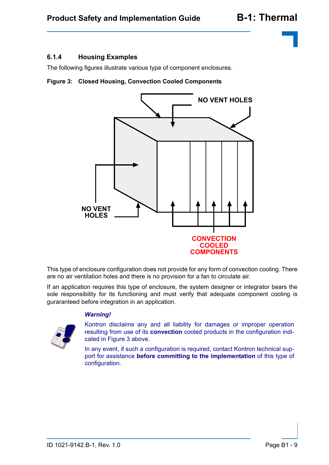

### **6.1.4 Housing Examples**

The following figures illustrate various type of component enclosures.

#### **Figure 3: Closed Housing, Convection Cooled Components**



This type of enclosure configuration does not provide for any form of convection cooling. There are no air ventilation holes and there is no provision for a fan to circulate air.

If an application requires this type of enclosure, the system designer or integrator bears the sole responsibility for its functioning and must verify that adequate component cooling is guraranteed before integration in an application.

#### *Warning!*



Kontron disclaims any and all liability for damages or improper operation resulting from use of its **convection** cooled products in the configuration indicated in Figure 3 above.

In any event, if such a configuration is required, contact Kontron technical support for assistance **before committing to the implementation** of this type of configuration.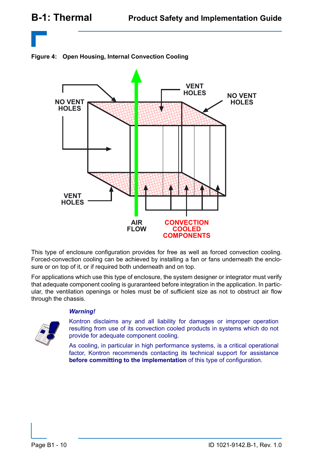

**Figure 4: Open Housing, Internal Convection Cooling**



This type of enclosure configuration provides for free as well as forced convection cooling. Forced-convection cooling can be achieved by installing a fan or fans underneath the enclosure or on top of it, or if required both underneath and on top.

For applications which use this type of enclosure, the system designer or integrator must verify that adequate component cooling is guraranteed before integration in the application. In particular, the ventilation openings or holes must be of sufficient size as not to obstruct air flow through the chassis.

#### *Warning!*



Kontron disclaims any and all liability for damages or improper operation resulting from use of its convection cooled products in systems which do not provide for adequate component cooling.

As cooling, in particular in high performance systems, is a critical operational factor, Kontron recommends contacting its technical support for assistance **before committing to the implementation** of this type of configuration.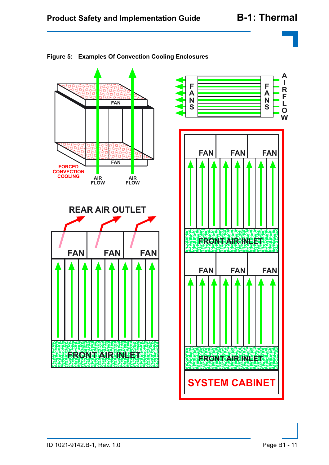

 $\mathbf{A}$  $\overline{\phantom{a}}$ 



### **Figure 5: Examples Of Convection Cooling Enclosures**

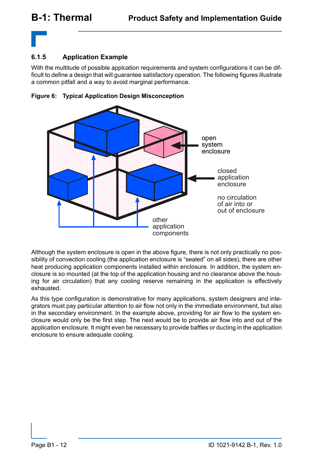

### **6.1.5 Application Example**

With the multitude of possible applcation requirements and system configurations it can be difficult to define a design that will guarantee satisfactory operation. The following figures illustrate a common pitfall and a way to avoid marginal performance.



**Figure 6: Typical Application Design Misconception**

Although the system enclosure is open in the above figure, there is not only practically no possibility of convection cooling (the application enclosure is "sealed" on all sides), there are other heat producing application components installed within enclosure. In addition, the system enclosure is so mounted (at the top of the application housing and no clearance above the housing for air circulation) that any cooling reserve remaining in the application is effectively exhausted.

As this type configuration is demonstrative for many applications, system designers and integrators must pay particular attention to air flow not only in the immediate environment, but also in the secondary environment. In the example above, providing for air flow to the system enclosure would only be the first step. The next would be to provide air flow into and out of the application enclosure. It might even be necessary to provide baffles or ducting in the application enclosure to ensure adequate cooling.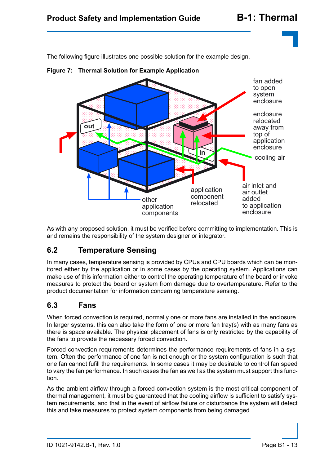

The following figure illustrates one possible solution for the example design.



**Figure 7: Thermal Solution for Example Application**

As with any proposed solution, it must be verified before committing to implementation. This is and remains the responsibility of the system designer or integrator.

## **6.2 Temperature Sensing**

In many cases, temperature sensing is provided by CPUs and CPU boards which can be monitored either by the application or in some cases by the operating system. Applications can make use of this information either to control the operating temperature of the board or invoke measures to protect the board or system from damage due to overtemperature. Refer to the product documentation for information concerning temperature sensing.

## **6.3 Fans**

When forced convection is required, normally one or more fans are installed in the enclosure. In larger systems, this can also take the form of one or more fan tray(s) with as many fans as there is space available. The physical placement of fans is only restricted by the capability of the fans to provide the necessary forced convection.

Forced convection requirements determines the performance requirements of fans in a system. Often the performance of one fan is not enough or the system configuration is such that one fan cannot fufill the requirements. In some cases it may be desirable to control fan speed to vary the fan performance. In such cases the fan as well as the system must support this function.

As the ambient airflow through a forced-convection system is the most critical component of thermal management, it must be guaranteed that the cooling airflow is sufficient to satisfy system requirements, and that in the event of airflow failure or disturbance the system will detect this and take measures to protect system components from being damaged.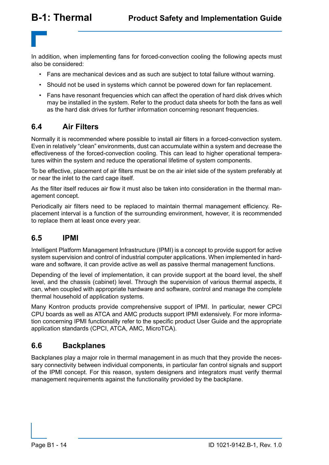

In addition, when implementing fans for forced-convection cooling the following apects must also be considered:

- Fans are mechanical devices and as such are subject to total failure without warning.
- Should not be used in systems which cannot be powered down for fan replacement.
- Fans have resonant frequencies which can affect the operation of hard disk drives which may be installed in the system. Refer to the product data sheets for both the fans as well as the hard disk drives for further information concerning resonant frequencies.

## **6.4 Air Filters**

Normally it is recommended where possible to install air filters in a forced-convection system. Even in relatively "clean" environments, dust can accumulate within a system and decrease the effectiveness of the forced-convection cooling. This can lead to higher operational temperatures within the system and reduce the operational lifetime of system components.

To be effective, placement of air filters must be on the air inlet side of the system preferably at or near the inlet to the card cage itself.

As the filter itself reduces air flow it must also be taken into consideration in the thermal management concept.

Periodically air filters need to be replaced to maintain thermal management efficiency. Replacement interval is a function of the surrounding environment, however, it is recommended to replace them at least once every year.

### **6.5 IPMI**

Intelligent Platform Management Infrastructure (IPMI) is a concept to provide support for active system supervision and control of industrial computer applications. When implemented in hardware and software, it can provide active as well as passive thermal management functions.

Depending of the level of implementation, it can provide support at the board level, the shelf level, and the chassis (cabinet) level. Through the supervision of various thermal aspects, it can, when coupled with appropriate hardware and software, control and manage the complete thermal household of application systems.

Many Kontron products provide comprehensive support of IPMI. In particular, newer CPCI CPU boards as well as ATCA and AMC products support IPMI extensively. For more information concerning IPMI functionality refer to the specific product User Guide and the appropriate application standards (CPCI, ATCA, AMC, MicroTCA).

## **6.6 Backplanes**

Backplanes play a major role in thermal management in as much that they provide the necessary connectivity between individual components, in particular fan control signals and support of the IPMI concept. For this reason, system designers and integrators must verify thermal management requirements against the functionality provided by the backplane.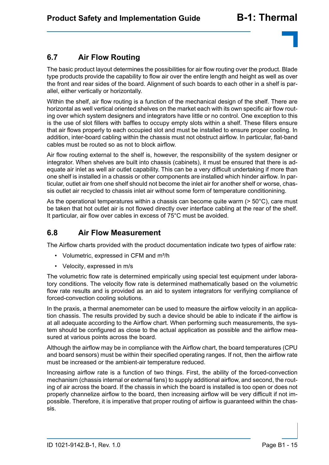## **6.7 Air Flow Routing**

The basic product layout determines the possibilities for air flow routing over the product. Blade type products provide the capability to flow air over the entire length and height as well as over the front and rear sides of the board. Alignment of such boards to each other in a shelf is parallel, either vertically or horizontally.

Within the shelf, air flow routing is a function of the mechanical design of the shelf. There are horizontal as well vertical oriented shelves on the market each with its own specific air flow routing over which system designers and integrators have little or no control. One exception to this is the use of slot fillers with baffles to occupy empty slots within a shelf. These fillers ensure that air flows properly to each occupied slot and must be installed to ensure proper cooling. In addition, inter-board cabling within the chassis must not obstruct airflow. In particular, flat-band cables must be routed so as not to block airflow.

Air flow routing external to the shelf is, however, the responsibility of the system designer or integrator. When shelves are built into chassis (cabinets), it must be ensured that there is adequate air inlet as well air outlet capability. This can be a very difficult undertaking if more than one shelf is installed in a chassis or other components are installed which hinder airflow. In particular, outlet air from one shelf should not become the inlet air for another shelf or worse, chassis outlet air recycled to chassis inlet air without some form of temperature conditionining.

As the operational temperatures within a chassis can become quite warm ( $>$  50 $^{\circ}$ C), care must be taken that hot outlet air is not flowed directly over interface cabling at the rear of the shelf. It particular, air flow over cables in excess of 75°C must be avoided.

### **6.8 Air Flow Measurement**

The Airflow charts provided with the product documentation indicate two types of airflow rate:

- Volumetric, expressed in CFM and m<sup>3</sup>/h
- Velocity, expressed in m/s

The volumetric flow rate is determined empirically using special test equipment under laboratory conditions. The velocity flow rate is determined mathematically based on the volumetric flow rate results and is provided as an aid to system integrators for verifiying compliance of forced-convection cooling solutions.

In the praxis, a thermal anemometer can be used to measure the airflow velocity in an application chassis. The results provided by such a device should be able to indicate if the airflow is at all adequate according to the Airflow chart. When performing such measurements, the system should be configured as close to the actual application as possible and the airflow measured at various points across the board.

Although the airflow may be in compliance with the Airflow chart, the board temperatures (CPU and board sensors) must be within their specified operating ranges. If not, then the airflow rate must be increased or the ambient-air temperature reduced.

Increasing airflow rate is a function of two things. First, the ability of the forced-convection mechanism (chassis internal or external fans) to supply additional airflow, and second, the routing of air across the board. If the chassis in which the board is installed is too open or does not properly channelize airflow to the board, then increasing airflow will be very difficult if not impossible. Therefore, it is imperative that proper routing of airflow is guaranteed within the chassis.